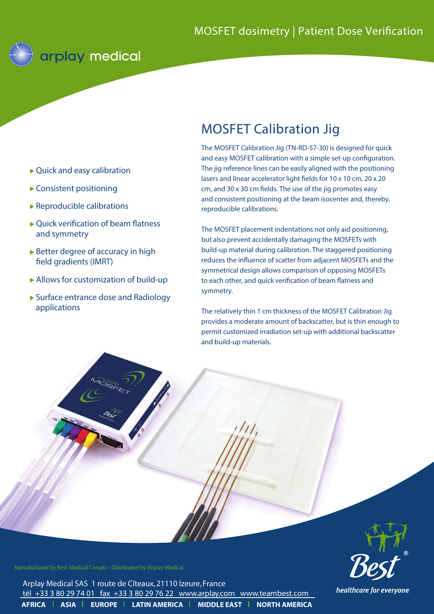

- Quick and easy calibration
- Consistent positioning
- $\blacktriangleright$  Reproducible calibrations
- ▶ Quick verification of beam flatness and symmetry
- $\triangleright$  Better degree of accuracy in high field gradients (IMRT)
- Allows for customization of build-up
- ▶ Surface entrance dose and Radiology applications

## MOSFET Calibration Jig

The MOSFET Calibration Jig (TN-RD-57-30) is designed for quick and easy MOSFET calibration with a simple set-up configuration. The jig reference lines can be easily aligned with the positioning lasers and linear accelerator light fields for 10 x 10 cm, 20 x 20 cm, and 30 x 30 cm fields. The use of the jig promotes easy and consistent positioning at the beam isocenter and, thereby, reproducible calibrations.

The MOSFET placement indentations not only aid positioning, but also prevent accidentally damaging the MOSFETs with build-up material during calibration. The staggered positioning reduces the influence of scatter from adjacent MOSFETs and the symmetrical design allows comparison of opposing MOSFETs to each other, and quick verification of beam flatness and symmetry.

The relatively thin 1 cm thickness of the MOSFET Calibration Jig provides a moderate amount of backscatter, but is thin enough to permit customized irradiation set-up with additional backscatter and build-up materials.



Manufactured by Best Medical Canada • Distributed by Arplay Medical

**AFRICA | ASIA | EUROPE | LATIN AMERICA | MIDDLE EAST | NORTH AMERICA** Arplay Medical SAS 1 route de Cîteaux, 21110 Izeure, France tél +33 3 80 29 74 01 fax +33 3 80 29 76 22 www.arplay.com www.teambest.com